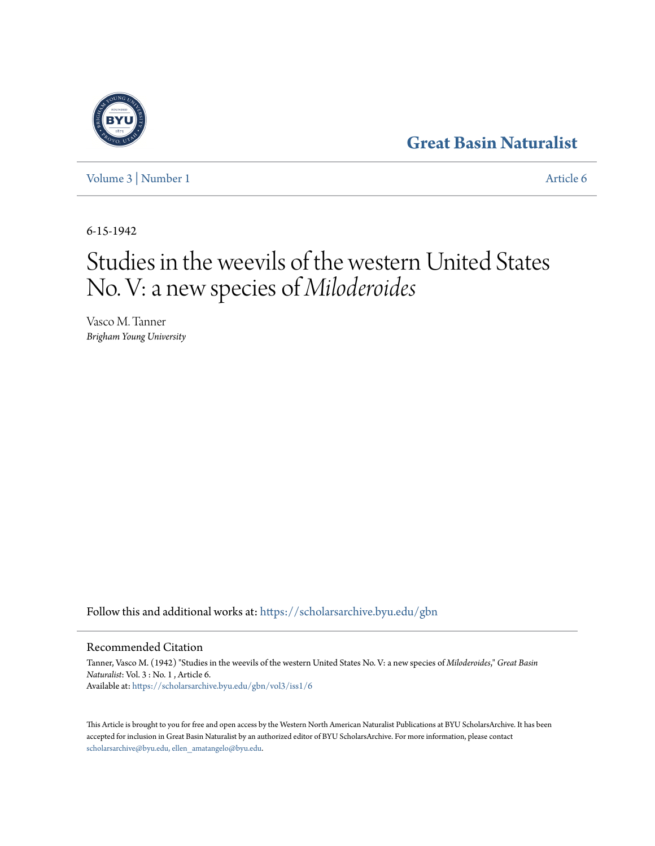## **[Great Basin Naturalist](https://scholarsarchive.byu.edu/gbn?utm_source=scholarsarchive.byu.edu%2Fgbn%2Fvol3%2Fiss1%2F6&utm_medium=PDF&utm_campaign=PDFCoverPages)**

[Volume 3](https://scholarsarchive.byu.edu/gbn/vol3?utm_source=scholarsarchive.byu.edu%2Fgbn%2Fvol3%2Fiss1%2F6&utm_medium=PDF&utm_campaign=PDFCoverPages) | [Number 1](https://scholarsarchive.byu.edu/gbn/vol3/iss1?utm_source=scholarsarchive.byu.edu%2Fgbn%2Fvol3%2Fiss1%2F6&utm_medium=PDF&utm_campaign=PDFCoverPages) [Article 6](https://scholarsarchive.byu.edu/gbn/vol3/iss1/6?utm_source=scholarsarchive.byu.edu%2Fgbn%2Fvol3%2Fiss1%2F6&utm_medium=PDF&utm_campaign=PDFCoverPages)

6-15-1942

# Studies in the weevils of the western United States No. V: a new species of *Miloderoides*

Vasco M. Tanner *Brigham Young University*

Follow this and additional works at: [https://scholarsarchive.byu.edu/gbn](https://scholarsarchive.byu.edu/gbn?utm_source=scholarsarchive.byu.edu%2Fgbn%2Fvol3%2Fiss1%2F6&utm_medium=PDF&utm_campaign=PDFCoverPages)

### Recommended Citation

Tanner, Vasco M. (1942) "Studies in the weevils of the western United States No. V: a new species of *Miloderoides*," *Great Basin Naturalist*: Vol. 3 : No. 1 , Article 6. Available at: [https://scholarsarchive.byu.edu/gbn/vol3/iss1/6](https://scholarsarchive.byu.edu/gbn/vol3/iss1/6?utm_source=scholarsarchive.byu.edu%2Fgbn%2Fvol3%2Fiss1%2F6&utm_medium=PDF&utm_campaign=PDFCoverPages)

This Article is brought to you for free and open access by the Western North American Naturalist Publications at BYU ScholarsArchive. It has been accepted for inclusion in Great Basin Naturalist by an authorized editor of BYU ScholarsArchive. For more information, please contact [scholarsarchive@byu.edu, ellen\\_amatangelo@byu.edu.](mailto:scholarsarchive@byu.edu,%20ellen_amatangelo@byu.edu)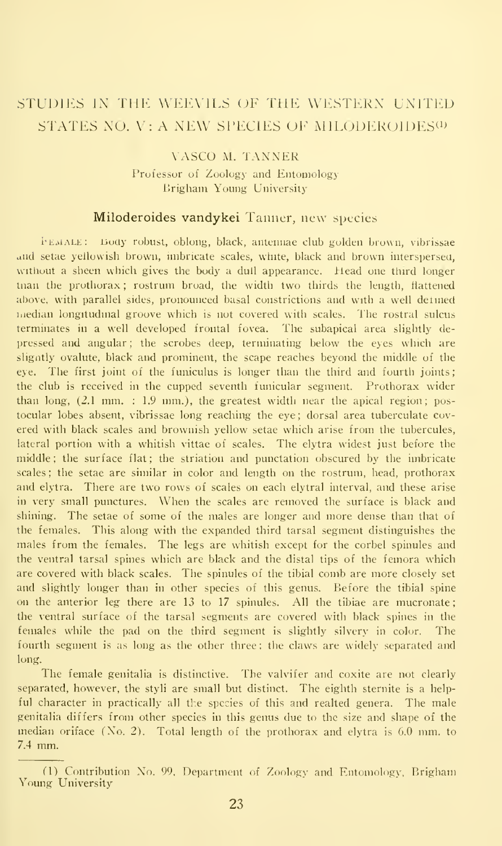## STUDIES IN THE WEEVILS OF THE WESTERN UNITED STATES NO. V: A NEW SPECIES OF MILODEROIDES<sup>(1)</sup>

#### VASCO M. TANNER Professor of Zoology and Entomology Brigham Young University

#### Miloderoides vandykei Tanner, new species

i-EMALE: Body robust, oblong, black, antennae club golden brown, vibrissae and setae yellowish brown, imbricate scales, white, black and brown interspersea, without a sheen which gives the body a dull appearance. Head one third longer man the prothorax ; rostrum broad, the width two thirds the length, flattened above, with parallel sides, pronounced basal constrictions and with a well detined median longitudinal groove which is not covered with scales. The rostral sulcus terminates in a well developed frontal fovea. The subapical area slightly de pressed and angular; the scrobes deep, terminating below the eyes which are sligntly ovalute, black and prominent, the scape reaches beyond the middle of the eye. The first joint of the funiculus is longer than the third and fourth joints; the club is received in the cupped seventh funicular segment. Prothorax wider than long, (2.1 mm. : 1.9 mm.), the greatest width near the apical region; postocular lobes absent, vibrissae long reaching the eye; dorsal area tuberculate cov ered with black scales and brownish yellow setae which arise from the tubercules, lateral portion with a whitish vittae of scales. The elytra widest just before the middle ; the surface flat ; the striation and punctation obscured by the imbricate scales ; the setae are similar in color and length on the rostrum, head, prothorax and elytra. There are two rows of scales on each elytral interval, and these arise in very small punctures. When the scales are removed the surface is black and shining. The setae of some of the males are longer and more dense than that of the females. This along with the expanded third tarsal segment distinguishes the males from the females. The legs are whitish except for the corbel spinules and the ventral tarsal spines which are black and the distal tips of the femora which are covered with black scales. The spinules of the tibial comb are more closely set and slightly longer than in other species of this genus. Before the tibial spine on the anterior leg there are 13 to 17 spinules. All the tibiae are mucronate the ventral surface of the tarsal segments are covered with black spines in the females while the pad on the third segment is slightly silvery in color. The fourth segment is as long as the other three; the claws are widely separated and long.

The female genitalia is distinctive. The valvifer and coxite are not clearly separated, however, the styli are small but distinct. The eighth sternite is a helpful character in practically all the species of this and realted genera. The male genitalia differs from other species in this genus due to the size and shape of the median oriface (No. 2). Total length of the prothorax and elytra is 6.0 mm. to 7.4 mm.

<sup>(1)</sup> Contribution No. 99. Department of Zoology and Entomology, Brigham Young University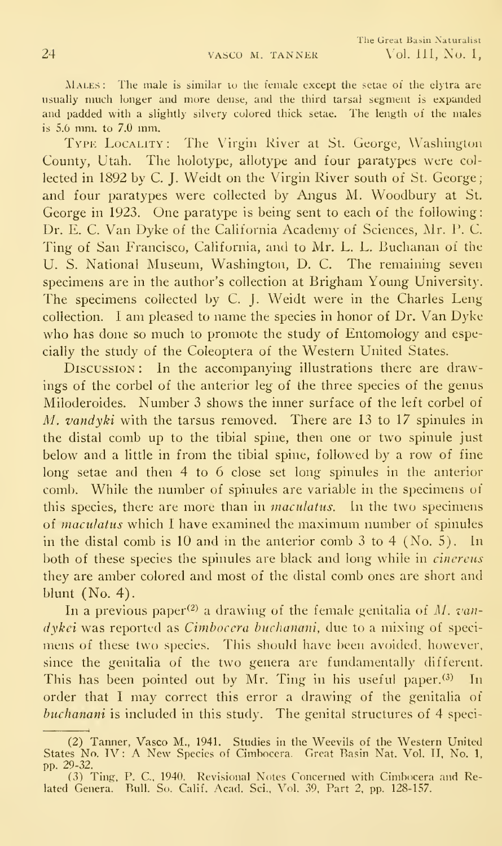MALES: The male is similar to the female except the setae of the elytra are usually much longer and more dense, and the third tarsal segment is expanded and padded with a slightly silvery colored thick setae. The length of the males is 5.6 mm. to 7.0 mm.

Typk Locality: The Virgin River at St. George, Washinglon County, Utah. The holotype, allotype and four paratypes were col lected in 1892 by C. J. Weidt on the Virgin River south of St. George; and four paratypes were collected by Angus M. Woodbury at St. George in 1923. One paratype is being sent to each of the following: Dr. E. C. Van Dyke of the California Academy of Sciences, Mr. P. C. Ting of San Francisco, California, and to Mr. L. L. Buchanan of the U. S. National Museum, Washington, D. C. The remaining seven specimens are in the author's collection at Brigham Young University. The specimens collected by C. J. Weidt were in the Charles Leng collection. <sup>1</sup> am pleased to name the species in honor of Dr. Van Dyke who has done so much to promote the study of Entomology and especially the study of the Coleoptera of the Western United States.

Discussion : In the accompanying illustrations there are drawings of the corbel of the anterior leg of the three species of the genus Miloderoides. Number 3 shows the inner surface of the left corbel of M. vandyki with the tarsus removed. There are 13 to 17 spinules in the distal comb up to the tibial spine, then one or two spinule just below and a little in from the tibial spine, followed by a row of fine long setae and then 4 to 6 close set long spinules in the anterior comb. While the number of spinules are variable in the specimens of this species, there are more than in *maculatus*. In the two specimens of maculatus which <sup>I</sup> have examined the maximum number of spinules in the distal comb is  $10$  and in the anterior comb  $3$  to  $4$  (No. 5). In both of these species the spinules are black and long while in cinereus they are amber colored and most of the distal comb ones are short and blunt (No. 4).

In a previous paper<sup>(2)</sup> a drawing of the female genitalia of M. vandykei was reported as Cimbocera buchanani, due to a mixing of specimens of these two species. This should have been avoided, however, since the genitalia of the two genera are fundamentally different. This has been pointed out by Mr. Ting in his useful paper. $(3)$  In order that <sup>I</sup> may correct this error <sup>a</sup> drawing of the genitalia of buchanani is included in this study. The genital structures of 4 speci-

<sup>(2)</sup> Tanner, Vasco M., 1941. Studies in the Weevils of the Western United States No. TV: A New Species of Cimbocera. Great Rasin Nat. Vol. II, No. 1, pp. 29-32.

<sup>(3)</sup> Ting, P. C, 1940. Revisional Notes Concerned with Cimbocera and Related Genera. Bull. So. Calif. Acad. Sci., Vol. 39. Part 2. pp. 128-157.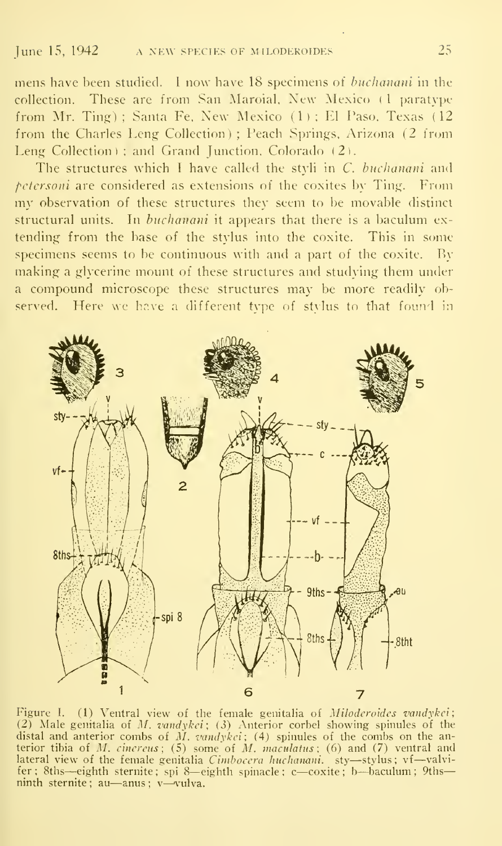mens have been studied. <sup>1</sup> now have 18 specimens of buchanani in the collection. These are from San Maroial. New Mexico (1 paratype from Mr. Ting); Santa Fe, New Mexico  $(1)$ ; El Paso, Texas (12) from the Charles Leng Collection) ; Peach Springs, Arizona (2 from Leng Collection) ; and Grand Junction, Colorado (2).

The structures which I have called the styli in  $C$ . buchanani and pctersoni are considered as extensions of the coxites by Ting. From my observation of these structures they seem to be movable distinct structural units. In buchanani it appears that there is a baculum ex tending from the base of the stylus into the coxite. This in some specimens seems to be continuous with and a part of the coxite. By making a glycerine mount of these structures and studying them under <sup>a</sup> compound microscope these structures may be more readily observed. Here we have a different type of stylus to that found in



Figure I. (1) Ventral view of the female genitalia of Miloderoides vandykei; (2) Male genitalia of *M. vandykci*; (3) Anterior corbel showing spinules of the distal and anterior combs of M.  $vandykei$ ; (4) spinules of the combs on the anterior tibia of *M. cinereus* ; (5) some of *M. maculatus* ; (6) and (7) ventral and<br>lateral view of the female genitalia *Cimbocera huchanani*. sty—stylus ; vf—valvi-<br>fer : 8ths—eighth sternite ; spi 8—eighth spinacle ; c ninth sternite ; au—anus ; <sup>v</sup>—vulva.